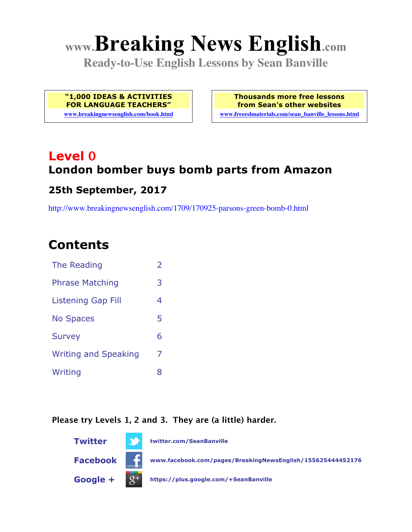# **www.Breaking News English.com**

**Ready-to-Use English Lessons by Sean Banville**

**"1,000 IDEAS & ACTIVITIES FOR LANGUAGE TEACHERS"**

**www.breakingnewsenglish.com/book.html**

**Thousands more free lessons from Sean's other websites www.freeeslmaterials.com/sean\_banville\_lessons.html**

## **Level 0 London bomber buys bomb parts from Amazon**

#### **25th September, 2017**

http://www.breakingnewsenglish.com/1709/170925-parsons-green-bomb-0.html

### **Contents**

| <b>The Reading</b>          | $\overline{2}$ |
|-----------------------------|----------------|
| <b>Phrase Matching</b>      | 3              |
| Listening Gap Fill          | 4              |
| <b>No Spaces</b>            | 5              |
| <b>Survey</b>               | 6              |
| <b>Writing and Speaking</b> | 7              |
| Writing                     | 8              |

#### **Please try Levels 1, 2 and 3. They are (a little) harder.**

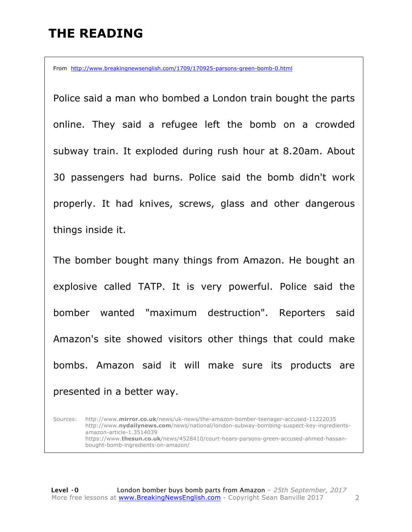### **THE READING**

From http://www.breakingnewsenglish.com/1709/170925-parsons-green-bomb-0.html

Police said a man who bombed a London train bought the parts online. They said a refugee left the bomb on a crowded subway train. It exploded during rush hour at 8.20am. About 30 passengers had burns. Police said the bomb didn't work properly. It had knives, screws, glass and other dangerous things inside it.

The bomber bought many things from Amazon. He bought an explosive called TATP. It is very powerful. Police said the bomber wanted "maximum destruction". Reporters said Amazon's site showed visitors other things that could make bombs. Amazon said it will make sure its products are presented in a better way.

Sources: http://www.**mirror.co.uk**/news/uk-news/the-amazon-bomber-teenager-accused-11222035 http://www.**nydailynews.com**/news/national/london-subway-bombing-suspect-key-ingredientsamazon-article-1.3514039 https://www.**thesun.co.uk**/news/4528410/court-hears-parsons-green-accused-ahmed-hassanbought-bomb-ingredients-on-amazon/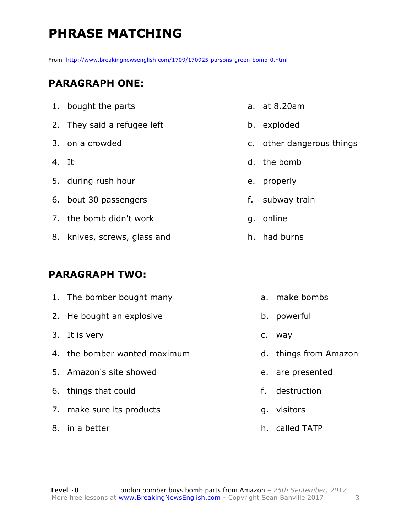### **PHRASE MATCHING**

From http://www.breakingnewsenglish.com/1709/170925-parsons-green-bomb-0.html

#### **PARAGRAPH ONE:**

- 1. bought the parts 2. They said a refugee left 3. on a crowded 4. It 5. during rush hour 6. bout 30 passengers 7. the bomb didn't work 8. knives, screws, glass and **PARAGRAPH TWO:**
- 1. The bomber bought many 2. He bought an explosive 3. It is very 4. the bomber wanted maximum 5. Amazon's site showed 6. things that could 7. make sure its products 8. in a better a. make bombs b. powerful c. way d. things from Amazon e. are presented f. destruction g. visitors
- a. at 8.20am
- b. exploded
- c. other dangerous things
- d. the bomb
- e. properly
- f. subway train
- g. online
- h. had burns

h. called TATP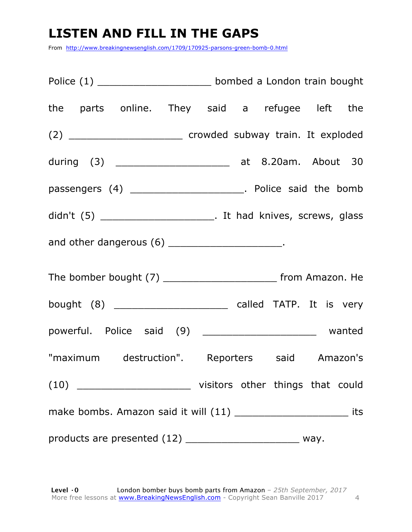### **LISTEN AND FILL IN THE GAPS**

From http://www.breakingnewsenglish.com/1709/170925-parsons-green-bomb-0.html

Police (1) \_\_\_\_\_\_\_\_\_\_\_\_\_\_\_\_\_\_\_ bombed a London train bought the parts online. They said a refugee left the (2) \_\_\_\_\_\_\_\_\_\_\_\_\_\_\_\_\_\_\_ crowded subway train. It exploded during (3) \_\_\_\_\_\_\_\_\_\_\_\_\_\_\_\_\_\_\_ at 8.20am. About 30 passengers (4) \_\_\_\_\_\_\_\_\_\_\_\_\_\_\_\_\_\_\_\_\_\_\_. Police said the bomb didn't (5) \_\_\_\_\_\_\_\_\_\_\_\_\_\_\_\_\_\_\_\_\_\_\_\_\_. It had knives, screws, glass and other dangerous (6) \_\_\_\_\_\_\_\_\_\_\_\_\_\_\_\_\_\_\_\_\_\_\_. The bomber bought (7) \_\_\_\_\_\_\_\_\_\_\_\_\_\_\_\_\_\_\_\_\_\_\_\_\_ from Amazon. He bought (8) \_\_\_\_\_\_\_\_\_\_\_\_\_\_\_\_\_\_\_ called TATP. It is very powerful. Police said (9) \_\_\_\_\_\_\_\_\_\_\_\_\_\_\_\_\_\_\_\_\_\_ wanted "maximum destruction". Reporters said Amazon's (10) \_\_\_\_\_\_\_\_\_\_\_\_\_\_\_\_\_\_\_ visitors other things that could make bombs. Amazon said it will (11) \_\_\_\_\_\_\_\_\_\_\_\_\_\_\_\_\_\_\_\_\_\_\_\_\_\_\_ its products are presented (12) \_\_\_\_\_\_\_\_\_\_\_\_\_\_\_\_\_\_\_\_\_\_\_ way.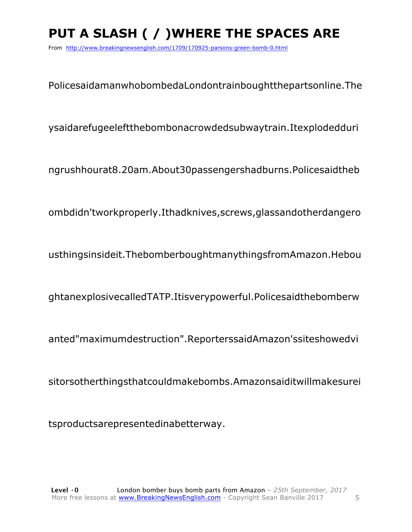### **PUT A SLASH ( / )WHERE THE SPACES ARE**

From http://www.breakingnewsenglish.com/1709/170925-parsons-green-bomb-0.html

PolicesaidamanwhobombedaLondontrainboughtthepartsonline.The

ysaidarefugeeleftthebombonacrowdedsubwaytrain.Itexplodedduri

ngrushhourat8.20am.About30passengershadburns.Policesaidtheb

ombdidn'tworkproperly.Ithadknives,screws,glassandotherdangero

usthingsinsideit.ThebomberboughtmanythingsfromAmazon.Hebou

ghtanexplosivecalledTATP.Itisverypowerful.Policesaidthebomberw

anted"maximumdestruction".ReporterssaidAmazon'ssiteshowedvi

sitorsotherthingsthatcouldmakebombs.Amazonsaiditwillmakesurei

tsproductsarepresentedinabetterway.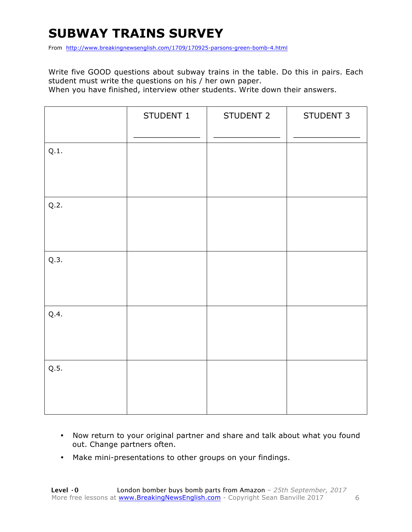### **SUBWAY TRAINS SURVEY**

From http://www.breakingnewsenglish.com/1709/170925-parsons-green-bomb-4.html

Write five GOOD questions about subway trains in the table. Do this in pairs. Each student must write the questions on his / her own paper.

When you have finished, interview other students. Write down their answers.

|      | STUDENT 1 | STUDENT 2 | STUDENT 3 |
|------|-----------|-----------|-----------|
| Q.1. |           |           |           |
| Q.2. |           |           |           |
| Q.3. |           |           |           |
| Q.4. |           |           |           |
| Q.5. |           |           |           |

- Now return to your original partner and share and talk about what you found out. Change partners often.
- Make mini-presentations to other groups on your findings.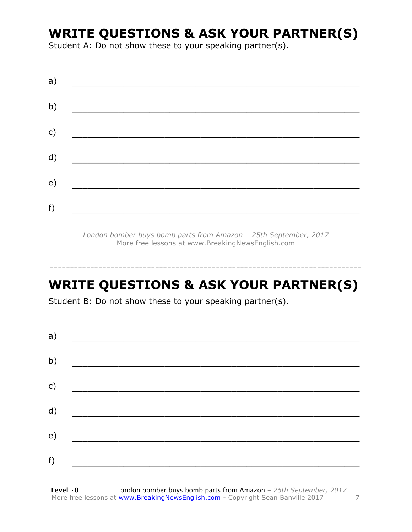### **WRITE QUESTIONS & ASK YOUR PARTNER(S)**

Student A: Do not show these to your speaking partner(s).

| a) |  |  |
|----|--|--|
| b) |  |  |
| c) |  |  |
| d) |  |  |
| e) |  |  |
| f) |  |  |
|    |  |  |

*London bomber buys bomb parts from Amazon – 25th September, 2017* More free lessons at www.BreakingNewsEnglish.com

### **WRITE QUESTIONS & ASK YOUR PARTNER(S)**

-----------------------------------------------------------------------------

Student B: Do not show these to your speaking partner(s).

| a) |  |  |
|----|--|--|
| b) |  |  |
| c) |  |  |
| d) |  |  |
| e) |  |  |
| f) |  |  |
|    |  |  |